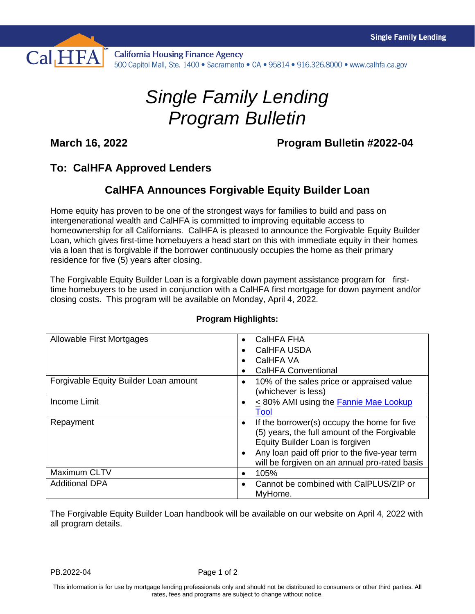

**California Housing Finance Agency** 500 Capitol Mall, Ste. 1400 · Sacramento · CA · 95814 · 916.326.8000 · www.calhfa.ca.gov

## *Single Family Lending Program Bulletin*

**March 16, 2022 Program Bulletin #2022-04**

## **To: CalHFA Approved Lenders**

## **CalHFA Announces Forgivable Equity Builder Loan**

Home equity has proven to be one of the strongest ways for families to build and pass on intergenerational wealth and CalHFA is committed to improving equitable access to homeownership for all Californians. CalHFA is pleased to announce the Forgivable Equity Builder Loan, which gives first-time homebuyers a head start on this with immediate equity in their homes via a loan that is forgivable if the borrower continuously occupies the home as their primary residence for five (5) years after closing.

The Forgivable Equity Builder Loan is a forgivable down payment assistance program for firsttime homebuyers to be used in conjunction with a CalHFA first mortgage for down payment and/or closing costs. This program will be available on Monday, April 4, 2022.

| Allowable First Mortgages             | CalHFA FHA<br>$\bullet$                                  |
|---------------------------------------|----------------------------------------------------------|
|                                       | CalHFA USDA<br>$\bullet$                                 |
|                                       | CalHFA VA<br>$\bullet$                                   |
|                                       | <b>CalHFA Conventional</b>                               |
| Forgivable Equity Builder Loan amount | 10% of the sales price or appraised value<br>$\bullet$   |
|                                       | (whichever is less)                                      |
| <b>Income Limit</b>                   | <80% AMI using the <b>Fannie Mae Lookup</b><br>$\bullet$ |
|                                       | Tool                                                     |
| Repayment                             | If the borrower(s) occupy the home for five<br>$\bullet$ |
|                                       | (5) years, the full amount of the Forgivable             |
|                                       | Equity Builder Loan is forgiven                          |
|                                       | Any loan paid off prior to the five-year term            |
|                                       | will be forgiven on an annual pro-rated basis            |
| Maximum CLTV                          | 105%<br>$\bullet$                                        |
| <b>Additional DPA</b>                 | Cannot be combined with CalPLUS/ZIP or<br>$\bullet$      |
|                                       | MyHome.                                                  |

## **Program Highlights:**

The Forgivable Equity Builder Loan handbook will be available on our website on April 4, 2022 with all program details.